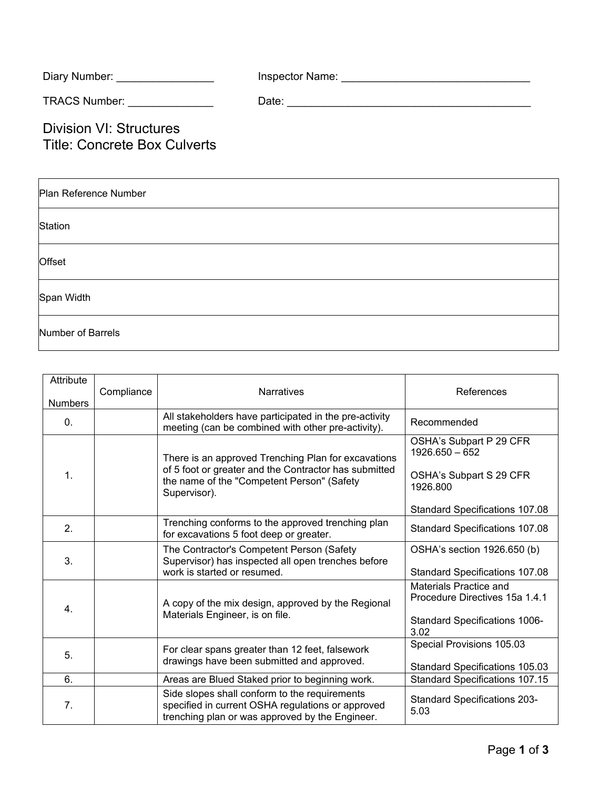| Diary Number: | Inspector Name: |  |
|---------------|-----------------|--|
|               |                 |  |

TRACS Number: \_\_\_\_\_\_\_\_\_\_\_\_\_\_ Date: \_\_\_\_\_\_\_\_\_\_\_\_\_\_\_\_\_\_\_\_\_\_\_\_\_\_\_\_\_\_\_\_\_\_\_\_\_\_\_\_

Division VI: Structures Title: Concrete Box Culverts

| Plan Reference Number |  |  |  |  |
|-----------------------|--|--|--|--|
| <b>Station</b>        |  |  |  |  |
| Offset                |  |  |  |  |
| Span Width            |  |  |  |  |
| Number of Barrels     |  |  |  |  |

| Attribute<br><b>Numbers</b> | Compliance | <b>Narratives</b>                                                                                                                                                          | References                                                                                               |
|-----------------------------|------------|----------------------------------------------------------------------------------------------------------------------------------------------------------------------------|----------------------------------------------------------------------------------------------------------|
| 0.                          |            | All stakeholders have participated in the pre-activity<br>meeting (can be combined with other pre-activity).                                                               | Recommended                                                                                              |
| 1.                          |            | There is an approved Trenching Plan for excavations<br>of 5 foot or greater and the Contractor has submitted<br>the name of the "Competent Person" (Safety<br>Supervisor). | OSHA's Subpart P 29 CFR<br>$1926.650 - 652$<br>OSHA's Subpart S 29 CFR<br>1926.800                       |
|                             |            |                                                                                                                                                                            | Standard Specifications 107.08                                                                           |
| 2.                          |            | Trenching conforms to the approved trenching plan<br>for excavations 5 foot deep or greater.                                                                               | Standard Specifications 107.08                                                                           |
| 3.                          |            | The Contractor's Competent Person (Safety<br>Supervisor) has inspected all open trenches before<br>work is started or resumed.                                             | OSHA's section 1926.650 (b)<br>Standard Specifications 107.08                                            |
| 4.                          |            | A copy of the mix design, approved by the Regional<br>Materials Engineer, is on file.                                                                                      | <b>Materials Practice and</b><br>Procedure Directives 15a 1.4.1<br>Standard Specifications 1006-<br>3.02 |
| 5.                          |            | For clear spans greater than 12 feet, falsework<br>drawings have been submitted and approved.                                                                              | Special Provisions 105.03<br>Standard Specifications 105.03                                              |
| 6.                          |            | Areas are Blued Staked prior to beginning work.                                                                                                                            | <b>Standard Specifications 107.15</b>                                                                    |
| 7 <sub>1</sub>              |            | Side slopes shall conform to the requirements<br>specified in current OSHA regulations or approved<br>trenching plan or was approved by the Engineer.                      | <b>Standard Specifications 203-</b><br>5.03                                                              |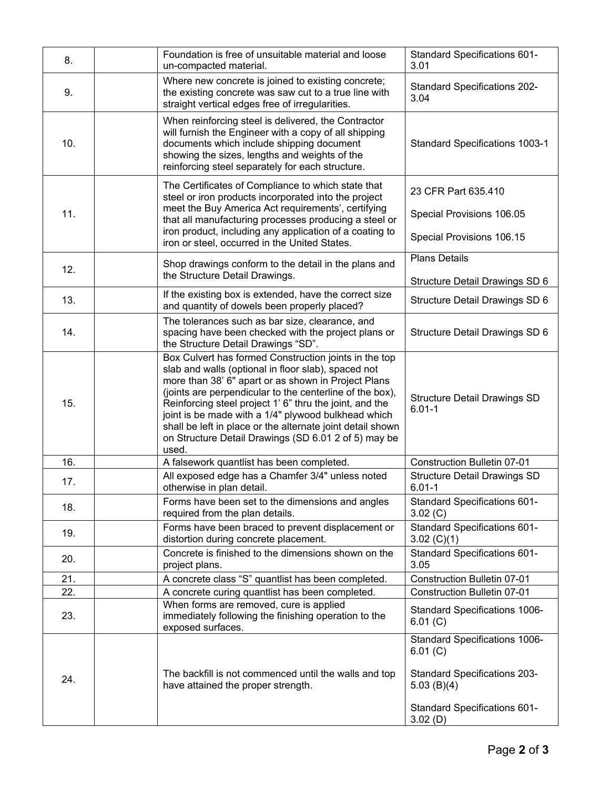| 8.  | Foundation is free of unsuitable material and loose<br>un-compacted material.                                                                                                                                                                                                |                                                                                                                                                                                                                                         | <b>Standard Specifications 601-</b><br>3.01                                                                                                         |
|-----|------------------------------------------------------------------------------------------------------------------------------------------------------------------------------------------------------------------------------------------------------------------------------|-----------------------------------------------------------------------------------------------------------------------------------------------------------------------------------------------------------------------------------------|-----------------------------------------------------------------------------------------------------------------------------------------------------|
| 9.  |                                                                                                                                                                                                                                                                              | Where new concrete is joined to existing concrete;<br>the existing concrete was saw cut to a true line with<br>straight vertical edges free of irregularities.                                                                          |                                                                                                                                                     |
| 10. | When reinforcing steel is delivered, the Contractor<br>will furnish the Engineer with a copy of all shipping<br>documents which include shipping document<br>showing the sizes, lengths and weights of the<br>reinforcing steel separately for each structure.               |                                                                                                                                                                                                                                         | <b>Standard Specifications 1003-1</b>                                                                                                               |
| 11. | The Certificates of Compliance to which state that<br>steel or iron products incorporated into the project<br>meet the Buy America Act requirements', certifying<br>iron product, including any application of a coating to<br>iron or steel, occurred in the United States. | that all manufacturing processes producing a steel or                                                                                                                                                                                   | 23 CFR Part 635.410<br>Special Provisions 106.05<br>Special Provisions 106.15                                                                       |
| 12. | Shop drawings conform to the detail in the plans and                                                                                                                                                                                                                         |                                                                                                                                                                                                                                         | <b>Plans Details</b>                                                                                                                                |
|     | the Structure Detail Drawings.                                                                                                                                                                                                                                               |                                                                                                                                                                                                                                         | Structure Detail Drawings SD 6                                                                                                                      |
| 13. | If the existing box is extended, have the correct size<br>and quantity of dowels been properly placed?                                                                                                                                                                       |                                                                                                                                                                                                                                         | Structure Detail Drawings SD 6                                                                                                                      |
| 14. | The tolerances such as bar size, clearance, and<br>spacing have been checked with the project plans or<br>the Structure Detail Drawings "SD".                                                                                                                                |                                                                                                                                                                                                                                         | Structure Detail Drawings SD 6                                                                                                                      |
| 15. | slab and walls (optional in floor slab), spaced not<br>more than 38' 6" apart or as shown in Project Plans<br>Reinforcing steel project 1' 6" thru the joint, and the<br>joint is be made with a 1/4" plywood bulkhead which<br>used.                                        | Box Culvert has formed Construction joints in the top<br>(joints are perpendicular to the centerline of the box),<br>shall be left in place or the alternate joint detail shown<br>on Structure Detail Drawings (SD 6.01 2 of 5) may be | <b>Structure Detail Drawings SD</b><br>$6.01 - 1$                                                                                                   |
| 16. | A falsework quantlist has been completed.                                                                                                                                                                                                                                    |                                                                                                                                                                                                                                         | <b>Construction Bulletin 07-01</b>                                                                                                                  |
| 17. | All exposed edge has a Chamfer 3/4" unless noted<br>otherwise in plan detail.                                                                                                                                                                                                |                                                                                                                                                                                                                                         | <b>Structure Detail Drawings SD</b><br>$6.01 - 1$                                                                                                   |
| 18. | Forms have been set to the dimensions and angles<br>required from the plan details.                                                                                                                                                                                          |                                                                                                                                                                                                                                         | <b>Standard Specifications 601-</b><br>3.02 (C)                                                                                                     |
| 19. | Forms have been braced to prevent displacement or<br>distortion during concrete placement.                                                                                                                                                                                   |                                                                                                                                                                                                                                         | <b>Standard Specifications 601-</b><br>3.02 $(C)(1)$                                                                                                |
| 20. | Concrete is finished to the dimensions shown on the<br>project plans.                                                                                                                                                                                                        |                                                                                                                                                                                                                                         | Standard Specifications 601-<br>3.05                                                                                                                |
| 21. | A concrete class "S" quantlist has been completed.                                                                                                                                                                                                                           |                                                                                                                                                                                                                                         | Construction Bulletin 07-01                                                                                                                         |
| 22. | A concrete curing quantlist has been completed.                                                                                                                                                                                                                              |                                                                                                                                                                                                                                         | <b>Construction Bulletin 07-01</b>                                                                                                                  |
| 23. | When forms are removed, cure is applied<br>immediately following the finishing operation to the<br>exposed surfaces.                                                                                                                                                         |                                                                                                                                                                                                                                         | Standard Specifications 1006-<br>6.01 (C)                                                                                                           |
| 24. | The backfill is not commenced until the walls and top<br>have attained the proper strength.                                                                                                                                                                                  |                                                                                                                                                                                                                                         | Standard Specifications 1006-<br>6.01 (C)<br><b>Standard Specifications 203-</b><br>$5.03$ (B)(4)<br><b>Standard Specifications 601-</b><br>3.02(D) |